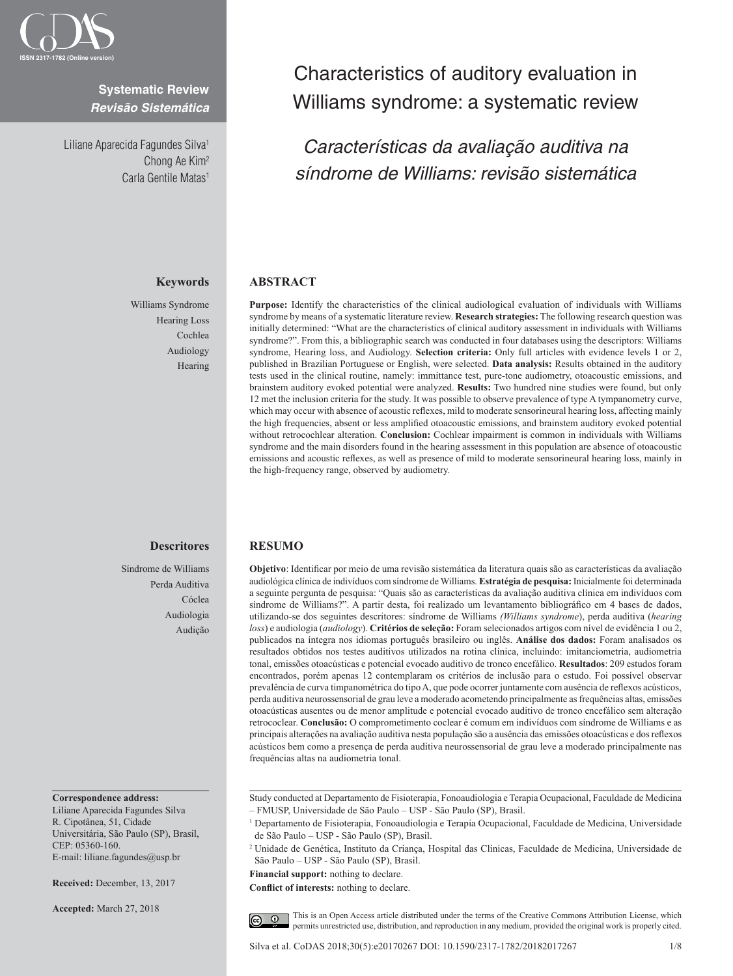

# **Systematic Review** *Revisão Sistemática*

Liliane Aparecida Fagundes Silva<sup>1</sup> Chong Ae Kim2 Carla Gentile Matas<sup>1</sup>

# **Keywords**

Williams Syndrome Hearing Loss Cochlea Audiology Hearing

# **Descritores**

Síndrome de Williams Perda Auditiva Cóclea Audiologia Audição

#### **Correspondence address:**

Liliane Aparecida Fagundes Silva R. Cipotânea, 51, Cidade Universitária, São Paulo (SP), Brasil, CEP: 05360-160. E-mail: liliane.fagundes@usp.br

**Received:** December, 13, 2017

**Accepted:** March 27, 2018

# Characteristics of auditory evaluation in Williams syndrome: a systematic review

*Características da avaliação auditiva na síndrome de Williams: revisão sistemática*

## **ABSTRACT**

**Purpose:** Identify the characteristics of the clinical audiological evaluation of individuals with Williams syndrome by means of a systematic literature review. **Research strategies:** The following research question was initially determined: "What are the characteristics of clinical auditory assessment in individuals with Williams syndrome?". From this, a bibliographic search was conducted in four databases using the descriptors: Williams syndrome, Hearing loss, and Audiology. **Selection criteria:** Only full articles with evidence levels 1 or 2, published in Brazilian Portuguese or English, were selected. **Data analysis:** Results obtained in the auditory tests used in the clinical routine, namely: immittance test, pure-tone audiometry, otoacoustic emissions, and brainstem auditory evoked potential were analyzed. **Results:** Two hundred nine studies were found, but only 12 met the inclusion criteria for the study. It was possible to observe prevalence of type A tympanometry curve, which may occur with absence of acoustic reflexes, mild to moderate sensorineural hearing loss, affecting mainly the high frequencies, absent or less amplified otoacoustic emissions, and brainstem auditory evoked potential without retrocochlear alteration. **Conclusion:** Cochlear impairment is common in individuals with Williams syndrome and the main disorders found in the hearing assessment in this population are absence of otoacoustic emissions and acoustic reflexes, as well as presence of mild to moderate sensorineural hearing loss, mainly in the high-frequency range, observed by audiometry.

## **RESUMO**

**Objetivo**: Identificar por meio de uma revisão sistemática da literatura quais são as características da avaliação audiológica clínica de indivíduos com síndrome de Williams. **Estratégia de pesquisa:** Inicialmente foi determinada a seguinte pergunta de pesquisa: "Quais são as características da avaliação auditiva clínica em indivíduos com síndrome de Williams?". A partir desta, foi realizado um levantamento bibliográfico em 4 bases de dados, utilizando-se dos seguintes descritores: síndrome de Williams *(Williams syndrome*), perda auditiva (*hearing loss*) e audiologia (*audiology*). **Critérios de seleção:** Foram selecionados artigos com nível de evidência 1 ou 2, publicados na íntegra nos idiomas português brasileiro ou inglês. **Análise dos dados:** Foram analisados os resultados obtidos nos testes auditivos utilizados na rotina clínica, incluindo: imitanciometria, audiometria tonal, emissões otoacústicas e potencial evocado auditivo de tronco encefálico. **Resultados**: 209 estudos foram encontrados, porém apenas 12 contemplaram os critérios de inclusão para o estudo. Foi possível observar prevalência de curva timpanométrica do tipo A, que pode ocorrer juntamente com ausência de reflexos acústicos, perda auditiva neurossensorial de grau leve a moderado acometendo principalmente as frequências altas, emissões otoacústicas ausentes ou de menor amplitude e potencial evocado auditivo de tronco encefálico sem alteração retrococlear. **Conclusão:** O comprometimento coclear é comum em indivíduos com síndrome de Williams e as principais alterações na avaliação auditiva nesta população são a ausência das emissões otoacústicas e dos reflexos acústicos bem como a presença de perda auditiva neurossensorial de grau leve a moderado principalmente nas frequências altas na audiometria tonal.

Study conducted at Departamento de Fisioterapia, Fonoaudiologia e Terapia Ocupacional, Faculdade de Medicina – FMUSP, Universidade de São Paulo – USP - São Paulo (SP), Brasil.

**Financial support:** nothing to declare.

**Conflict of interests:** nothing to declare.

This is an Open Access article distributed under the terms of the Creative Commons Attribution License, which  $\odot$ permits unrestricted use, distribution, and reproduction in any medium, provided the original work is properly cited.

Silva et al. CoDAS 2018;30(5):e20170267 DOI: 10.1590/2317-1782/20182017267 1/8

<sup>1</sup> Departamento de Fisioterapia, Fonoaudiologia e Terapia Ocupacional, Faculdade de Medicina, Universidade de São Paulo – USP - São Paulo (SP), Brasil.

<sup>2</sup> Unidade de Genética, Instituto da Criança, Hospital das Clinicas, Faculdade de Medicina, Universidade de São Paulo – USP - São Paulo (SP), Brasil.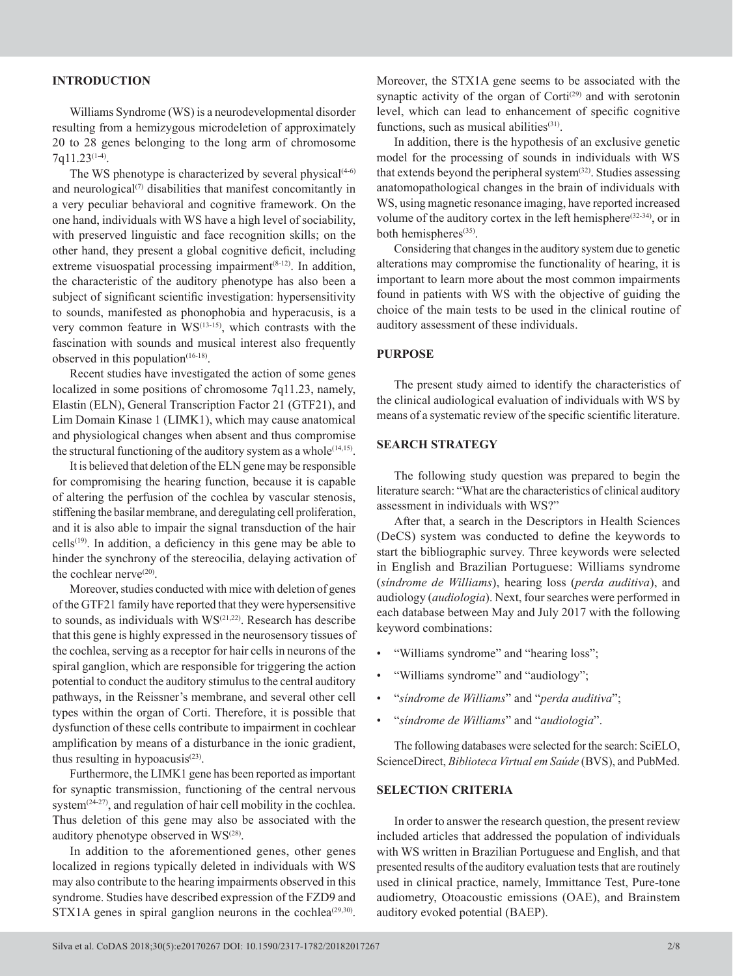# **INTRODUCTION**

Williams Syndrome (WS) is a neurodevelopmental disorder resulting from a hemizygous microdeletion of approximately 20 to 28 genes belonging to the long arm of chromosome  $7q11.23(1-4)$ .

The WS phenotype is characterized by several physical $(4-6)$ and neurological $(7)$  disabilities that manifest concomitantly in a very peculiar behavioral and cognitive framework. On the one hand, individuals with WS have a high level of sociability, with preserved linguistic and face recognition skills; on the other hand, they present a global cognitive deficit, including extreme visuospatial processing impairment $(8-12)$ . In addition, the characteristic of the auditory phenotype has also been a subject of significant scientific investigation: hypersensitivity to sounds, manifested as phonophobia and hyperacusis, is a very common feature in  $WS^{(13-15)}$ , which contrasts with the fascination with sounds and musical interest also frequently observed in this population $(16-18)$ .

Recent studies have investigated the action of some genes localized in some positions of chromosome 7q11.23, namely, Elastin (ELN), General Transcription Factor 21 (GTF21), and Lim Domain Kinase 1 (LIMK1), which may cause anatomical and physiological changes when absent and thus compromise the structural functioning of the auditory system as a whole<sup>(14,15)</sup>.

It is believed that deletion of the ELN gene may be responsible for compromising the hearing function, because it is capable of altering the perfusion of the cochlea by vascular stenosis, stiffening the basilar membrane, and deregulating cell proliferation, and it is also able to impair the signal transduction of the hair  $cells<sup>(19)</sup>$ . In addition, a deficiency in this gene may be able to hinder the synchrony of the stereocilia, delaying activation of the cochlear nerve $(20)$ .

Moreover, studies conducted with mice with deletion of genes of the GTF21 family have reported that they were hypersensitive to sounds, as individuals with  $WS^{(21,22)}$ . Research has describe that this gene is highly expressed in the neurosensory tissues of the cochlea, serving as a receptor for hair cells in neurons of the spiral ganglion, which are responsible for triggering the action potential to conduct the auditory stimulus to the central auditory pathways, in the Reissner's membrane, and several other cell types within the organ of Corti. Therefore, it is possible that dysfunction of these cells contribute to impairment in cochlear amplification by means of a disturbance in the ionic gradient, thus resulting in hypoacusis $(23)$ .

Furthermore, the LIMK1 gene has been reported as important for synaptic transmission, functioning of the central nervous system $(24-27)$ , and regulation of hair cell mobility in the cochlea. Thus deletion of this gene may also be associated with the auditory phenotype observed in WS<sup>(28)</sup>.

In addition to the aforementioned genes, other genes localized in regions typically deleted in individuals with WS may also contribute to the hearing impairments observed in this syndrome. Studies have described expression of the FZD9 and  $STX1A$  genes in spiral ganglion neurons in the cochlea<sup> $(29,30)$ </sup>.

Moreover, the STX1A gene seems to be associated with the synaptic activity of the organ of  $\text{Corti}^{(29)}$  and with serotonin level, which can lead to enhancement of specific cognitive functions, such as musical abilities $(31)$ .

In addition, there is the hypothesis of an exclusive genetic model for the processing of sounds in individuals with WS that extends beyond the peripheral system<sup>(32)</sup>. Studies assessing anatomopathological changes in the brain of individuals with WS, using magnetic resonance imaging, have reported increased volume of the auditory cortex in the left hemisphere<sup> $(32-34)$ </sup>, or in both hemispheres<sup>(35)</sup>.

Considering that changes in the auditory system due to genetic alterations may compromise the functionality of hearing, it is important to learn more about the most common impairments found in patients with WS with the objective of guiding the choice of the main tests to be used in the clinical routine of auditory assessment of these individuals.

# **PURPOSE**

The present study aimed to identify the characteristics of the clinical audiological evaluation of individuals with WS by means of a systematic review of the specific scientific literature.

## **SEARCH STRATEGY**

The following study question was prepared to begin the literature search: "What are the characteristics of clinical auditory assessment in individuals with WS?"

After that, a search in the Descriptors in Health Sciences (DeCS) system was conducted to define the keywords to start the bibliographic survey. Three keywords were selected in English and Brazilian Portuguese: Williams syndrome (*síndrome de Williams*), hearing loss (*perda auditiva*), and audiology (*audiologia*). Next, four searches were performed in each database between May and July 2017 with the following keyword combinations:

- "Williams syndrome" and "hearing loss";
- "Williams syndrome" and "audiology";
- "*síndrome de Williams*" and "*perda auditiva*";
- "*síndrome de Williams*" and "*audiologia*".

The following databases were selected for the search: SciELO, ScienceDirect, *Biblioteca Virtual em Saúde* (BVS), and PubMed.

## **SELECTION CRITERIA**

In order to answer the research question, the present review included articles that addressed the population of individuals with WS written in Brazilian Portuguese and English, and that presented results of the auditory evaluation tests that are routinely used in clinical practice, namely, Immittance Test, Pure-tone audiometry, Otoacoustic emissions (OAE), and Brainstem auditory evoked potential (BAEP).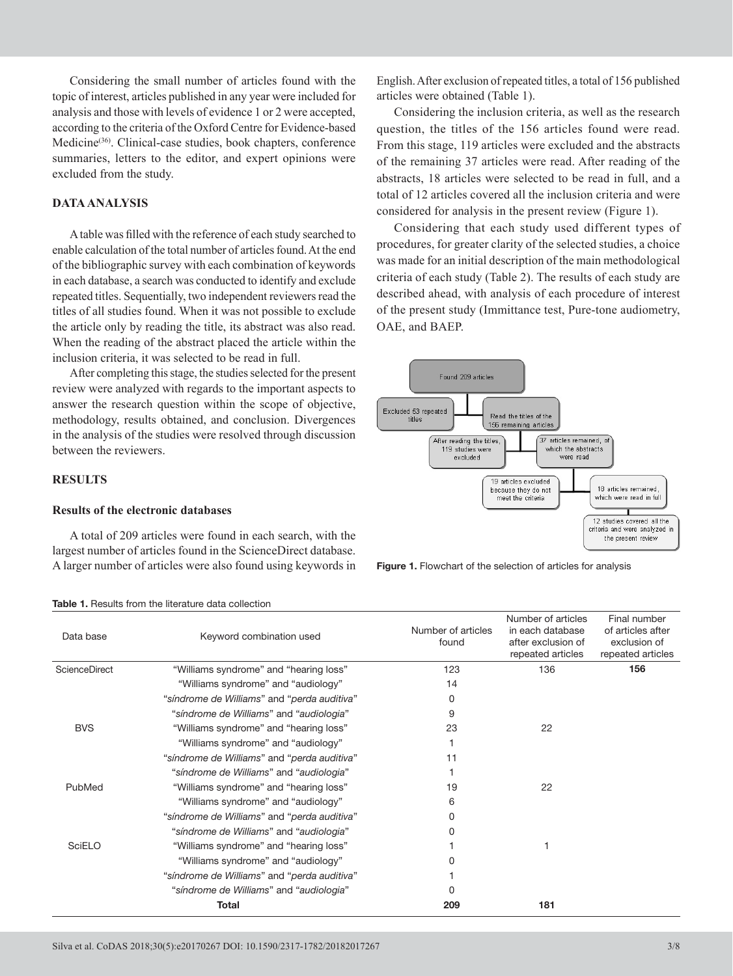Considering the small number of articles found with the topic of interest, articles published in any year were included for analysis and those with levels of evidence 1 or 2 were accepted, according to the criteria of the Oxford Centre for Evidence-based Medicine<sup>(36)</sup>. Clinical-case studies, book chapters, conference summaries, letters to the editor, and expert opinions were excluded from the study.

# **DATA ANALYSIS**

A table was filled with the reference of each study searched to enable calculation of the total number of articles found. At the end of the bibliographic survey with each combination of keywords in each database, a search was conducted to identify and exclude repeated titles. Sequentially, two independent reviewers read the titles of all studies found. When it was not possible to exclude the article only by reading the title, its abstract was also read. When the reading of the abstract placed the article within the inclusion criteria, it was selected to be read in full.

After completing this stage, the studies selected for the present review were analyzed with regards to the important aspects to answer the research question within the scope of objective, methodology, results obtained, and conclusion. Divergences in the analysis of the studies were resolved through discussion between the reviewers.

# **RESULTS**

#### **Results of the electronic databases**

A total of 209 articles were found in each search, with the largest number of articles found in the ScienceDirect database. A larger number of articles were also found using keywords in

English. After exclusion of repeated titles, a total of 156 published articles were obtained (Table 1).

Considering the inclusion criteria, as well as the research question, the titles of the 156 articles found were read. From this stage, 119 articles were excluded and the abstracts of the remaining 37 articles were read. After reading of the abstracts, 18 articles were selected to be read in full, and a total of 12 articles covered all the inclusion criteria and were considered for analysis in the present review (Figure 1).

Considering that each study used different types of procedures, for greater clarity of the selected studies, a choice was made for an initial description of the main methodological criteria of each study (Table 2). The results of each study are described ahead, with analysis of each procedure of interest of the present study (Immittance test, Pure-tone audiometry, OAE, and BAEP.



**Figure 1.** Flowchart of the selection of articles for analysis

| Data base            | Keyword combination used                    | Number of articles<br>found | Number of articles<br>in each database<br>after exclusion of<br>repeated articles | Final number<br>of articles after<br>exclusion of<br>repeated articles |
|----------------------|---------------------------------------------|-----------------------------|-----------------------------------------------------------------------------------|------------------------------------------------------------------------|
| <b>ScienceDirect</b> | "Williams syndrome" and "hearing loss"      | 123                         | 136                                                                               | 156                                                                    |
|                      | "Williams syndrome" and "audiology"         | 14                          |                                                                                   |                                                                        |
|                      | "síndrome de Williams" and "perda auditiva" | 0                           |                                                                                   |                                                                        |
|                      | "síndrome de Williams" and "audiologia"     | 9                           |                                                                                   |                                                                        |
| <b>BVS</b>           | "Williams syndrome" and "hearing loss"      | 23                          | 22                                                                                |                                                                        |
|                      | "Williams syndrome" and "audiology"         |                             |                                                                                   |                                                                        |
|                      | "síndrome de Williams" and "perda auditiva" | 11                          |                                                                                   |                                                                        |
|                      | "síndrome de Williams" and "audiologia"     |                             |                                                                                   |                                                                        |
| PubMed               | "Williams syndrome" and "hearing loss"      | 19                          | 22                                                                                |                                                                        |
|                      | "Williams syndrome" and "audiology"         | 6                           |                                                                                   |                                                                        |
|                      | "síndrome de Williams" and "perda auditiva" | 0                           |                                                                                   |                                                                        |
|                      | "síndrome de Williams" and "audiologia"     | O.                          |                                                                                   |                                                                        |
| <b>SciELO</b>        | "Williams syndrome" and "hearing loss"      |                             |                                                                                   |                                                                        |
|                      | "Williams syndrome" and "audiology"         |                             |                                                                                   |                                                                        |
|                      | "síndrome de Williams" and "perda auditiva" |                             |                                                                                   |                                                                        |
|                      | "síndrome de Williams" and "audiologia"     | O.                          |                                                                                   |                                                                        |
|                      | Total                                       | 209                         | 181                                                                               |                                                                        |

**Table 1.** Results from the literature data collection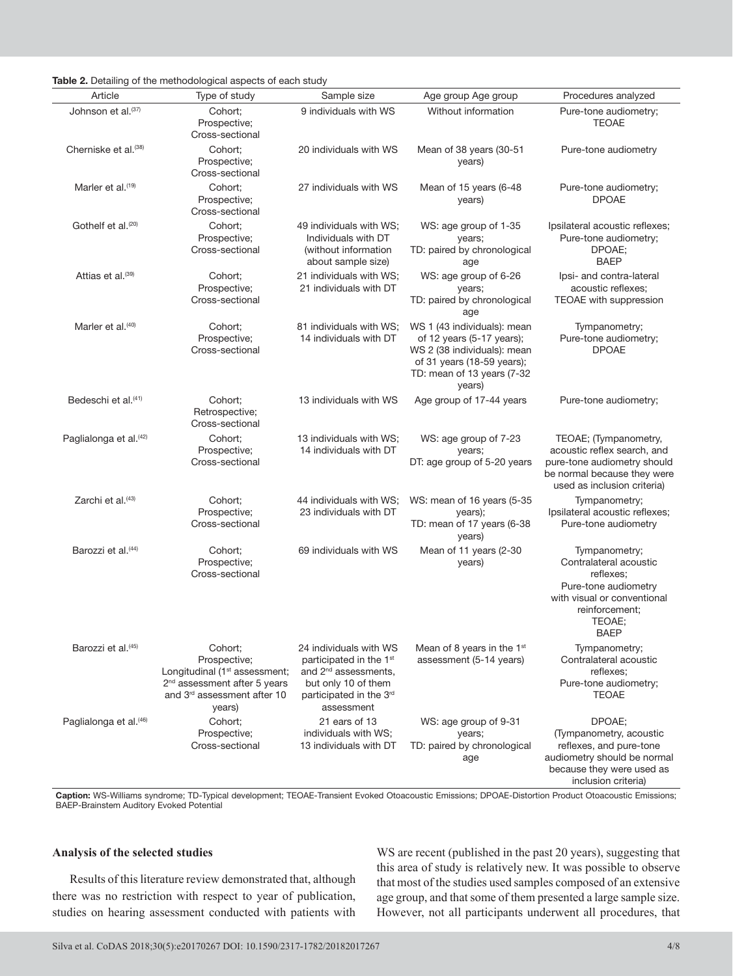|  | Table 2. Detailing of the methodological aspects of each study |  |
|--|----------------------------------------------------------------|--|
|  |                                                                |  |

|                                    | $\frac{1}{2}$ . Detailing of the methodological aspects of each study                                                                                                 |                                                                                                                                                       |                                                                                                                                                                |                                                                                                                                                        |
|------------------------------------|-----------------------------------------------------------------------------------------------------------------------------------------------------------------------|-------------------------------------------------------------------------------------------------------------------------------------------------------|----------------------------------------------------------------------------------------------------------------------------------------------------------------|--------------------------------------------------------------------------------------------------------------------------------------------------------|
| Article                            | Type of study                                                                                                                                                         | Sample size                                                                                                                                           | Age group Age group                                                                                                                                            | Procedures analyzed                                                                                                                                    |
| Johnson et al.(37)                 | Cohort:<br>Prospective;<br>Cross-sectional                                                                                                                            | 9 individuals with WS                                                                                                                                 | Without information                                                                                                                                            | Pure-tone audiometry;<br><b>TEOAE</b>                                                                                                                  |
| Cherniske et al. <sup>(38)</sup>   | Cohort:<br>Prospective;<br>Cross-sectional                                                                                                                            | 20 individuals with WS                                                                                                                                | Mean of 38 years (30-51<br>years)                                                                                                                              | Pure-tone audiometry                                                                                                                                   |
| Marler et al. <sup>(19)</sup>      | Cohort:<br>Prospective;<br>Cross-sectional                                                                                                                            | 27 individuals with WS                                                                                                                                | Mean of 15 years (6-48<br>years)                                                                                                                               | Pure-tone audiometry;<br><b>DPOAE</b>                                                                                                                  |
| Gothelf et al. <sup>(20)</sup>     | Cohort:<br>Prospective;<br>Cross-sectional                                                                                                                            | 49 individuals with WS;<br>Individuals with DT<br>(without information<br>about sample size)                                                          | WS: age group of 1-35<br>years;<br>TD: paired by chronological<br>age                                                                                          | Ipsilateral acoustic reflexes;<br>Pure-tone audiometry;<br>DPOAE;<br><b>BAEP</b>                                                                       |
| Attias et al. <sup>(39)</sup>      | Cohort;<br>Prospective;<br>Cross-sectional                                                                                                                            | 21 individuals with WS;<br>21 individuals with DT                                                                                                     | WS: age group of 6-26<br>years;<br>TD: paired by chronological<br>age                                                                                          | Ipsi- and contra-lateral<br>acoustic reflexes;<br>TEOAE with suppression                                                                               |
| Marler et al. <sup>(40)</sup>      | Cohort;<br>Prospective;<br>Cross-sectional                                                                                                                            | 81 individuals with WS;<br>14 individuals with DT                                                                                                     | WS 1 (43 individuals): mean<br>of 12 years (5-17 years);<br>WS 2 (38 individuals): mean<br>of 31 years (18-59 years);<br>TD: mean of 13 years (7-32)<br>years) | Tympanometry;<br>Pure-tone audiometry;<br><b>DPOAE</b>                                                                                                 |
| Bedeschi et al. <sup>(41)</sup>    | Cohort:<br>Retrospective;<br>Cross-sectional                                                                                                                          | 13 individuals with WS                                                                                                                                | Age group of 17-44 years                                                                                                                                       | Pure-tone audiometry;                                                                                                                                  |
| Paglialonga et al. <sup>(42)</sup> | Cohort:<br>Prospective;<br>Cross-sectional                                                                                                                            | 13 individuals with WS;<br>14 individuals with DT                                                                                                     | WS: age group of 7-23<br>years;<br>DT: age group of 5-20 years                                                                                                 | TEOAE; (Tympanometry,<br>acoustic reflex search, and<br>pure-tone audiometry should<br>be normal because they were<br>used as inclusion criteria)      |
| Zarchi et al. <sup>(43)</sup>      | Cohort;<br>Prospective;<br>Cross-sectional                                                                                                                            | 44 individuals with WS;<br>23 individuals with DT                                                                                                     | WS: mean of 16 years (5-35<br>years);<br>TD: mean of 17 years (6-38<br>years)                                                                                  | Tympanometry;<br>Ipsilateral acoustic reflexes;<br>Pure-tone audiometry                                                                                |
| Barozzi et al. <sup>(44)</sup>     | Cohort;<br>Prospective;<br>Cross-sectional                                                                                                                            | 69 individuals with WS                                                                                                                                | Mean of 11 years (2-30<br>years)                                                                                                                               | Tympanometry;<br>Contralateral acoustic<br>reflexes;<br>Pure-tone audiometry<br>with visual or conventional<br>reinforcement;<br>TEOAE:<br><b>BAEP</b> |
| Barozzi et al. <sup>(45)</sup>     | Cohort;<br>Prospective;<br>Longitudinal (1 <sup>st</sup> assessment;<br>2 <sup>nd</sup> assessment after 5 years<br>and 3 <sup>rd</sup> assessment after 10<br>years) | 24 individuals with WS<br>participated in the 1st<br>and 2 <sup>nd</sup> assessments,<br>but only 10 of them<br>participated in the 3rd<br>assessment | Mean of 8 years in the 1 <sup>st</sup><br>assessment (5-14 years)                                                                                              | Tympanometry;<br>Contralateral acoustic<br>reflexes;<br>Pure-tone audiometry;<br><b>TEOAE</b>                                                          |
| Paglialonga et al. <sup>(46)</sup> | Cohort;<br>Prospective;<br>Cross-sectional                                                                                                                            | 21 ears of 13<br>individuals with WS;<br>13 individuals with DT                                                                                       | WS: age group of 9-31<br>years;<br>TD: paired by chronological<br>age                                                                                          | DPOAE;<br>(Tympanometry, acoustic<br>reflexes, and pure-tone<br>audiometry should be normal<br>because they were used as<br>inclusion criteria)        |

**Caption:** WS-Williams syndrome; TD-Typical development; TEOAE-Transient Evoked Otoacoustic Emissions; DPOAE-Distortion Product Otoacoustic Emissions; BAEP-Brainstem Auditory Evoked Potential

# **Analysis of the selected studies**

Results of this literature review demonstrated that, although there was no restriction with respect to year of publication, studies on hearing assessment conducted with patients with WS are recent (published in the past 20 years), suggesting that this area of study is relatively new. It was possible to observe that most of the studies used samples composed of an extensive age group, and that some of them presented a large sample size. However, not all participants underwent all procedures, that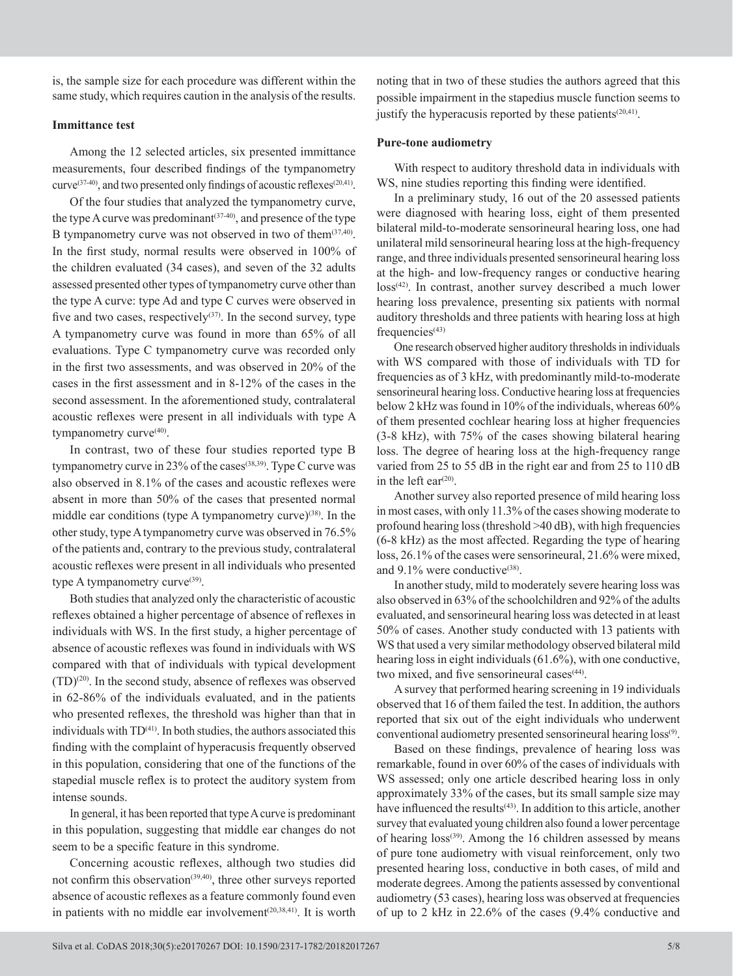is, the sample size for each procedure was different within the same study, which requires caution in the analysis of the results.

# **Immittance test**

Among the 12 selected articles, six presented immittance measurements, four described findings of the tympanometry curve<sup>(37-40)</sup>, and two presented only findings of acoustic reflexes<sup>(20,41)</sup>.

Of the four studies that analyzed the tympanometry curve, the type A curve was predominant  $(37-40)$ , and presence of the type B tympanometry curve was not observed in two of them $(37,40)$ . In the first study, normal results were observed in 100% of the children evaluated (34 cases), and seven of the 32 adults assessed presented other types of tympanometry curve other than the type A curve: type Ad and type C curves were observed in five and two cases, respectively $(37)$ . In the second survey, type A tympanometry curve was found in more than 65% of all evaluations. Type C tympanometry curve was recorded only in the first two assessments, and was observed in 20% of the cases in the first assessment and in 8-12% of the cases in the second assessment. In the aforementioned study, contralateral acoustic reflexes were present in all individuals with type A tympanometry curve<sup>(40)</sup>.

In contrast, two of these four studies reported type B tympanometry curve in 23% of the cases<sup>(38,39)</sup>. Type C curve was also observed in 8.1% of the cases and acoustic reflexes were absent in more than 50% of the cases that presented normal middle ear conditions (type A tympanometry curve) $(38)$ . In the other study, type A tympanometry curve was observed in 76.5% of the patients and, contrary to the previous study, contralateral acoustic reflexes were present in all individuals who presented type A tympanometry curve<sup>(39)</sup>.

Both studies that analyzed only the characteristic of acoustic reflexes obtained a higher percentage of absence of reflexes in individuals with WS. In the first study, a higher percentage of absence of acoustic reflexes was found in individuals with WS compared with that of individuals with typical development  $(TD)^{(20)}$ . In the second study, absence of reflexes was observed in 62-86% of the individuals evaluated, and in the patients who presented reflexes, the threshold was higher than that in individuals with  $TD<sup>(41)</sup>$ . In both studies, the authors associated this finding with the complaint of hyperacusis frequently observed in this population, considering that one of the functions of the stapedial muscle reflex is to protect the auditory system from intense sounds.

In general, it has been reported that type A curve is predominant in this population, suggesting that middle ear changes do not seem to be a specific feature in this syndrome.

Concerning acoustic reflexes, although two studies did not confirm this observation<sup>(39,40)</sup>, three other surveys reported absence of acoustic reflexes as a feature commonly found even in patients with no middle ear involvement $(20,38,41)$ . It is worth noting that in two of these studies the authors agreed that this possible impairment in the stapedius muscle function seems to justify the hyperacusis reported by these patients  $(20,41)$ .

## **Pure-tone audiometry**

With respect to auditory threshold data in individuals with WS, nine studies reporting this finding were identified.

In a preliminary study, 16 out of the 20 assessed patients were diagnosed with hearing loss, eight of them presented bilateral mild-to-moderate sensorineural hearing loss, one had unilateral mild sensorineural hearing loss at the high-frequency range, and three individuals presented sensorineural hearing loss at the high- and low-frequency ranges or conductive hearing loss<sup>(42)</sup>. In contrast, another survey described a much lower hearing loss prevalence, presenting six patients with normal auditory thresholds and three patients with hearing loss at high  $frequencies<sup>(43)</sup>$ 

One research observed higher auditory thresholds in individuals with WS compared with those of individuals with TD for frequencies as of 3 kHz, with predominantly mild-to-moderate sensorineural hearing loss. Conductive hearing loss at frequencies below 2 kHz was found in 10% of the individuals, whereas 60% of them presented cochlear hearing loss at higher frequencies (3-8 kHz), with 75% of the cases showing bilateral hearing loss. The degree of hearing loss at the high-frequency range varied from 25 to 55 dB in the right ear and from 25 to 110 dB in the left ear<sup> $(20)$ </sup>.

Another survey also reported presence of mild hearing loss in most cases, with only 11.3% of the cases showing moderate to profound hearing loss (threshold >40 dB), with high frequencies (6-8 kHz) as the most affected. Regarding the type of hearing loss, 26.1% of the cases were sensorineural, 21.6% were mixed, and  $9.1\%$  were conductive<sup>(38)</sup>.

In another study, mild to moderately severe hearing loss was also observed in 63% of the schoolchildren and 92% of the adults evaluated, and sensorineural hearing loss was detected in at least 50% of cases. Another study conducted with 13 patients with WS that used a very similar methodology observed bilateral mild hearing loss in eight individuals (61.6%), with one conductive, two mixed, and five sensorineural cases<sup>(44)</sup>.

A survey that performed hearing screening in 19 individuals observed that 16 of them failed the test. In addition, the authors reported that six out of the eight individuals who underwent conventional audiometry presented sensorineural hearing loss<sup>(9)</sup>.

Based on these findings, prevalence of hearing loss was remarkable, found in over 60% of the cases of individuals with WS assessed; only one article described hearing loss in only approximately 33% of the cases, but its small sample size may have influenced the results<sup>(43)</sup>. In addition to this article, another survey that evaluated young children also found a lower percentage of hearing loss<sup>(39)</sup>. Among the 16 children assessed by means of pure tone audiometry with visual reinforcement, only two presented hearing loss, conductive in both cases, of mild and moderate degrees. Among the patients assessed by conventional audiometry (53 cases), hearing loss was observed at frequencies of up to 2 kHz in 22.6% of the cases (9.4% conductive and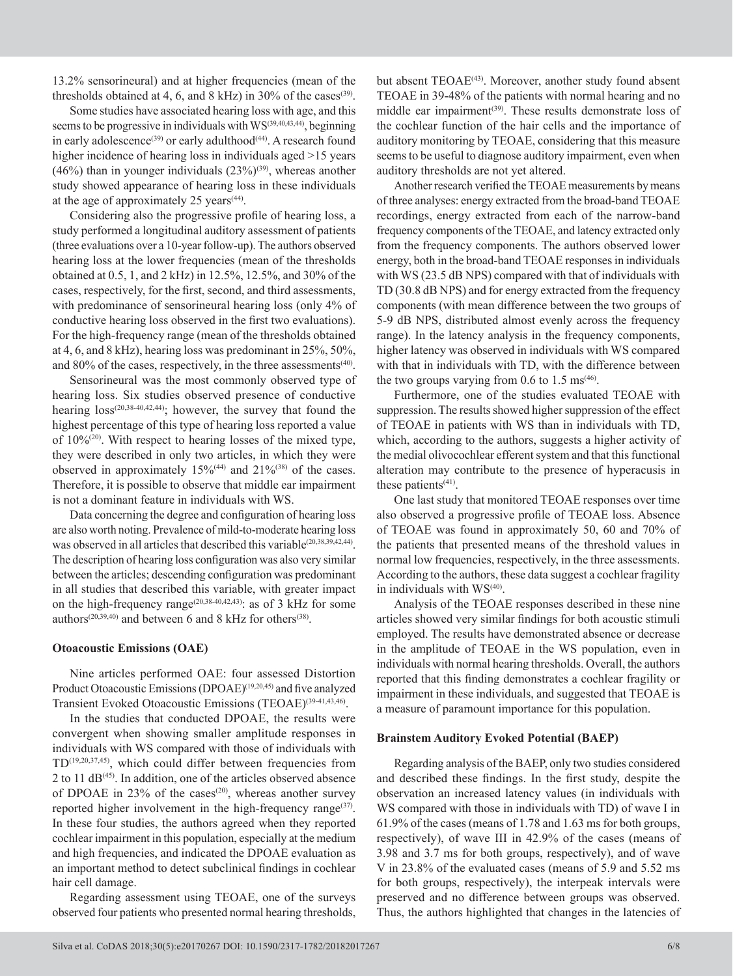13.2% sensorineural) and at higher frequencies (mean of the thresholds obtained at 4, 6, and 8 kHz) in 30% of the cases<sup>(39)</sup>.

Some studies have associated hearing loss with age, and this seems to be progressive in individuals with  $WS^{(39,40,43,44)}$ , beginning in early adolescence<sup>(39)</sup> or early adulthood<sup>(44)</sup>. A research found higher incidence of hearing loss in individuals aged  $>15$  years  $(46%)$  than in younger individuals  $(23%)^{(39)}$ , whereas another study showed appearance of hearing loss in these individuals at the age of approximately 25 years  $(44)$ .

Considering also the progressive profile of hearing loss, a study performed a longitudinal auditory assessment of patients (three evaluations over a 10-year follow-up). The authors observed hearing loss at the lower frequencies (mean of the thresholds obtained at 0.5, 1, and 2 kHz) in 12.5%, 12.5%, and 30% of the cases, respectively, for the first, second, and third assessments, with predominance of sensorineural hearing loss (only 4% of conductive hearing loss observed in the first two evaluations). For the high-frequency range (mean of the thresholds obtained at 4, 6, and 8 kHz), hearing loss was predominant in 25%, 50%, and 80% of the cases, respectively, in the three assessments<sup>(40)</sup>.

Sensorineural was the most commonly observed type of hearing loss. Six studies observed presence of conductive hearing  $loss^{(20,38-40,42,44)}$ ; however, the survey that found the highest percentage of this type of hearing loss reported a value of 10%(20) . With respect to hearing losses of the mixed type, they were described in only two articles, in which they were observed in approximately  $15\%^{(44)}$  and  $21\%^{(38)}$  of the cases. Therefore, it is possible to observe that middle ear impairment is not a dominant feature in individuals with WS.

Data concerning the degree and configuration of hearing loss are also worth noting. Prevalence of mild-to-moderate hearing loss was observed in all articles that described this variable<sup> $(20,38,39,42,44)$ </sup>. The description of hearing loss configuration was also very similar between the articles; descending configuration was predominant in all studies that described this variable, with greater impact on the high-frequency range<sup>(20,38-40,42,43)</sup>: as of 3 kHz for some authors<sup>(20,39,40)</sup> and between 6 and 8 kHz for others<sup>(38)</sup>.

## **Otoacoustic Emissions (OAE)**

Nine articles performed OAE: four assessed Distortion Product Otoacoustic Emissions (DPOAE)<sup>(19,20,45)</sup> and five analyzed Transient Evoked Otoacoustic Emissions (TEOAE)<sup>(39-41,43,46)</sup>.

In the studies that conducted DPOAE, the results were convergent when showing smaller amplitude responses in individuals with WS compared with those of individuals with TD(19,20,37,45) , which could differ between frequencies from 2 to 11  $dB^{(45)}$ . In addition, one of the articles observed absence of DPOAE in  $23\%$  of the cases<sup>(20)</sup>, whereas another survey reported higher involvement in the high-frequency range $(37)$ . In these four studies, the authors agreed when they reported cochlear impairment in this population, especially at the medium and high frequencies, and indicated the DPOAE evaluation as an important method to detect subclinical findings in cochlear hair cell damage.

Regarding assessment using TEOAE, one of the surveys observed four patients who presented normal hearing thresholds,

but absent TEOAE<sup>(43)</sup>. Moreover, another study found absent TEOAE in 39-48% of the patients with normal hearing and no middle ear impairment<sup>(39)</sup>. These results demonstrate loss of the cochlear function of the hair cells and the importance of auditory monitoring by TEOAE, considering that this measure seems to be useful to diagnose auditory impairment, even when auditory thresholds are not yet altered.

Another research verified the TEOAE measurements by means of three analyses: energy extracted from the broad-band TEOAE recordings, energy extracted from each of the narrow-band frequency components of the TEOAE, and latency extracted only from the frequency components. The authors observed lower energy, both in the broad-band TEOAE responses in individuals with WS (23.5 dB NPS) compared with that of individuals with TD (30.8 dB NPS) and for energy extracted from the frequency components (with mean difference between the two groups of 5-9 dB NPS, distributed almost evenly across the frequency range). In the latency analysis in the frequency components, higher latency was observed in individuals with WS compared with that in individuals with TD, with the difference between the two groups varying from  $0.6$  to  $1.5 \text{ ms}^{(46)}$ .

Furthermore, one of the studies evaluated TEOAE with suppression. The results showed higher suppression of the effect of TEOAE in patients with WS than in individuals with TD, which, according to the authors, suggests a higher activity of the medial olivocochlear efferent system and that this functional alteration may contribute to the presence of hyperacusis in these patients $(41)$ .

One last study that monitored TEOAE responses over time also observed a progressive profile of TEOAE loss. Absence of TEOAE was found in approximately 50, 60 and 70% of the patients that presented means of the threshold values in normal low frequencies, respectively, in the three assessments. According to the authors, these data suggest a cochlear fragility in individuals with  $WS^{(40)}$ .

Analysis of the TEOAE responses described in these nine articles showed very similar findings for both acoustic stimuli employed. The results have demonstrated absence or decrease in the amplitude of TEOAE in the WS population, even in individuals with normal hearing thresholds. Overall, the authors reported that this finding demonstrates a cochlear fragility or impairment in these individuals, and suggested that TEOAE is a measure of paramount importance for this population.

#### **Brainstem Auditory Evoked Potential (BAEP)**

Regarding analysis of the BAEP, only two studies considered and described these findings. In the first study, despite the observation an increased latency values (in individuals with WS compared with those in individuals with TD) of wave I in 61.9% of the cases (means of 1.78 and 1.63 ms for both groups, respectively), of wave III in 42.9% of the cases (means of 3.98 and 3.7 ms for both groups, respectively), and of wave V in 23.8% of the evaluated cases (means of 5.9 and 5.52 ms for both groups, respectively), the interpeak intervals were preserved and no difference between groups was observed. Thus, the authors highlighted that changes in the latencies of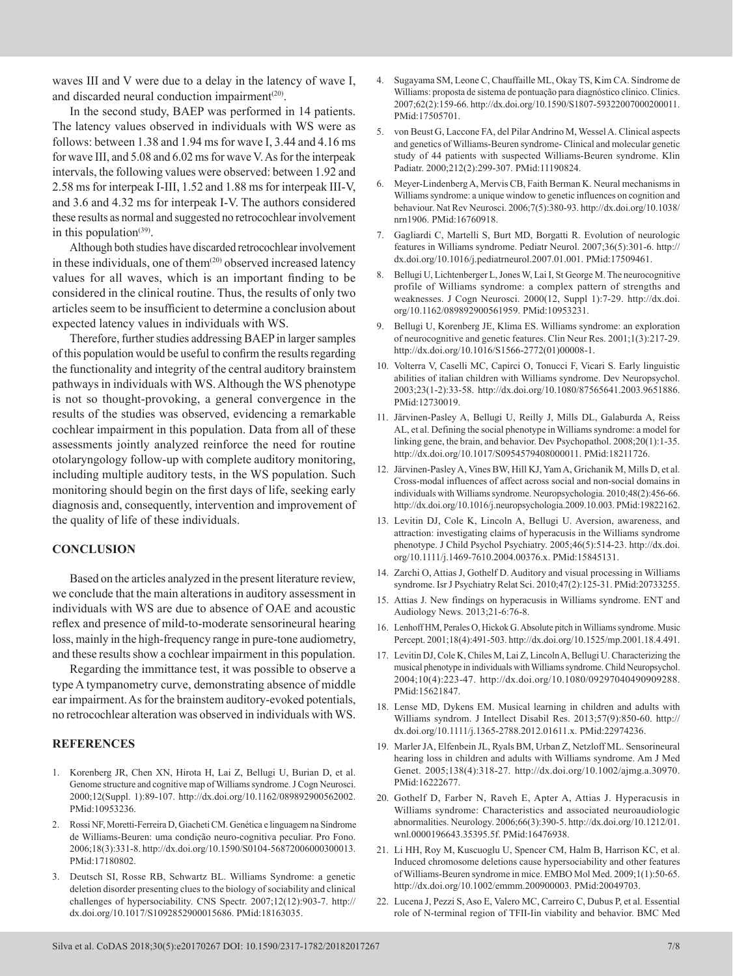waves III and V were due to a delay in the latency of wave I, and discarded neural conduction impairment<sup>(20)</sup>.

In the second study, BAEP was performed in 14 patients. The latency values observed in individuals with WS were as follows: between 1.38 and 1.94 ms for wave I, 3.44 and 4.16 ms for wave III, and 5.08 and 6.02 ms for wave V. As for the interpeak intervals, the following values were observed: between 1.92 and 2.58 ms for interpeak I-III, 1.52 and 1.88 ms for interpeak III-V, and 3.6 and 4.32 ms for interpeak I-V. The authors considered these results as normal and suggested no retrocochlear involvement in this population $(39)$ .

Although both studies have discarded retrocochlear involvement in these individuals, one of them $(20)$  observed increased latency values for all waves, which is an important finding to be considered in the clinical routine. Thus, the results of only two articles seem to be insufficient to determine a conclusion about expected latency values in individuals with WS.

Therefore, further studies addressing BAEP in larger samples of this population would be useful to confirm the results regarding the functionality and integrity of the central auditory brainstem pathways in individuals with WS. Although the WS phenotype is not so thought-provoking, a general convergence in the results of the studies was observed, evidencing a remarkable cochlear impairment in this population. Data from all of these assessments jointly analyzed reinforce the need for routine otolaryngology follow-up with complete auditory monitoring, including multiple auditory tests, in the WS population. Such monitoring should begin on the first days of life, seeking early diagnosis and, consequently, intervention and improvement of the quality of life of these individuals.

#### **CONCLUSION**

Based on the articles analyzed in the present literature review, we conclude that the main alterations in auditory assessment in individuals with WS are due to absence of OAE and acoustic reflex and presence of mild-to-moderate sensorineural hearing loss, mainly in the high-frequency range in pure-tone audiometry, and these results show a cochlear impairment in this population.

Regarding the immittance test, it was possible to observe a type A tympanometry curve, demonstrating absence of middle ear impairment. As for the brainstem auditory-evoked potentials, no retrocochlear alteration was observed in individuals with WS.

#### **REFERENCES**

- 1. Korenberg JR, Chen XN, Hirota H, Lai Z, Bellugi U, Burian D, et al. Genome structure and cognitive map of Williams syndrome. J Cogn Neurosci. 2000;12(Suppl. 1):89-107. [http://dx.doi.org/10.1162/089892900562002](https://doi.org/10.1162/089892900562002). [PMid:10953236.](https://www.ncbi.nlm.nih.gov/entrez/query.fcgi?cmd=Retrieve&db=PubMed&list_uids=10953236&dopt=Abstract)
- 2. Rossi NF, Moretti-Ferreira D, Giacheti CM. Genética e linguagem na Síndrome de Williams-Beuren: uma condição neuro-cognitiva peculiar. Pro Fono. 2006;18(3):331-8. [http://dx.doi.org/10.1590/S0104-56872006000300013](https://doi.org/10.1590/S0104-56872006000300013). [PMid:17180802.](https://www.ncbi.nlm.nih.gov/entrez/query.fcgi?cmd=Retrieve&db=PubMed&list_uids=17180802&dopt=Abstract)
- 3. Deutsch SI, Rosse RB, Schwartz BL. Williams Syndrome: a genetic deletion disorder presenting clues to the biology of sociability and clinical challenges of hypersociability. CNS Spectr. 2007;12(12):903-7. [http://](https://doi.org/10.1017/S1092852900015686) [dx.doi.org/10.1017/S1092852900015686](https://doi.org/10.1017/S1092852900015686)[. PMid:18163035.](https://www.ncbi.nlm.nih.gov/entrez/query.fcgi?cmd=Retrieve&db=PubMed&list_uids=18163035&dopt=Abstract)
- 4. Sugayama SM, Leone C, Chauffaille ML, Okay TS, Kim CA. Síndrome de Williams: proposta de sistema de pontuação para diagnóstico clínico. Clinics. 2007;62(2):159-66. [http://dx.doi.org/10.1590/S1807-59322007000200011](https://doi.org/10.1590/S1807-59322007000200011). [PMid:17505701.](https://www.ncbi.nlm.nih.gov/entrez/query.fcgi?cmd=Retrieve&db=PubMed&list_uids=17505701&dopt=Abstract)
- 5. von Beust G, Laccone FA, del Pilar Andrino M, Wessel A. Clinical aspects and genetics of Williams-Beuren syndrome- Clinical and molecular genetic study of 44 patients with suspected Williams-Beuren syndrome. Klin Padiatr. 2000;212(2):299-307. [PMid:11190824.](https://www.ncbi.nlm.nih.gov/entrez/query.fcgi?cmd=Retrieve&db=PubMed&list_uids=11190824&dopt=Abstract)
- 6. Meyer-Lindenberg A, Mervis CB, Faith Berman K. Neural mechanisms in Williams syndrome: a unique window to genetic influences on cognition and behaviour. Nat Rev Neurosci. 2006;7(5):380-93. [http://dx.doi.org/10.1038/](https://doi.org/10.1038/nrn1906) [nrn1906.](https://doi.org/10.1038/nrn1906) [PMid:16760918.](https://www.ncbi.nlm.nih.gov/entrez/query.fcgi?cmd=Retrieve&db=PubMed&list_uids=16760918&dopt=Abstract)
- 7. Gagliardi C, Martelli S, Burt MD, Borgatti R. Evolution of neurologic features in Williams syndrome. Pediatr Neurol. 2007;36(5):301-6. [http://](https://doi.org/10.1016/j.pediatrneurol.2007.01.001) [dx.doi.org/10.1016/j.pediatrneurol.2007.01.001](https://doi.org/10.1016/j.pediatrneurol.2007.01.001). [PMid:17509461.](https://www.ncbi.nlm.nih.gov/entrez/query.fcgi?cmd=Retrieve&db=PubMed&list_uids=17509461&dopt=Abstract)
- 8. Bellugi U, Lichtenberger L, Jones W, Lai I, St George M. The neurocognitive profile of Williams syndrome: a complex pattern of strengths and weaknesses. J Cogn Neurosci. 2000(12, Suppl 1):7-29. [http://dx.doi.](https://doi.org/10.1162/089892900561959) [org/10.1162/089892900561959.](https://doi.org/10.1162/089892900561959) [PMid:10953231.](https://www.ncbi.nlm.nih.gov/entrez/query.fcgi?cmd=Retrieve&db=PubMed&list_uids=10953231&dopt=Abstract)
- 9. Bellugi U, Korenberg JE, Klima ES. Williams syndrome: an exploration of neurocognitive and genetic features. Clin Neur Res. 2001;1(3):217-29. [http://dx.doi.org/10.1016/S1566-2772\(01\)00008-1](https://doi.org/10.1016/S1566-2772(01)00008-1).
- 10. Volterra V, Caselli MC, Capirci O, Tonucci F, Vicari S. Early linguistic abilities of italian children with Williams syndrome. Dev Neuropsychol. 2003;23(1-2):33-58. [http://dx.doi.org/10.1080/87565641.2003.9651886](https://doi.org/10.1080/87565641.2003.9651886). [PMid:12730019.](https://www.ncbi.nlm.nih.gov/entrez/query.fcgi?cmd=Retrieve&db=PubMed&list_uids=12730019&dopt=Abstract)
- 11. Järvinen-Pasley A, Bellugi U, Reilly J, Mills DL, Galaburda A, Reiss AL, et al. Defining the social phenotype in Williams syndrome: a model for linking gene, the brain, and behavior. Dev Psychopathol. 2008;20(1):1-35. [http://dx.doi.org/10.1017/S0954579408000011](https://doi.org/10.1017/S0954579408000011). [PMid:18211726.](https://www.ncbi.nlm.nih.gov/entrez/query.fcgi?cmd=Retrieve&db=PubMed&list_uids=18211726&dopt=Abstract)
- 12. Järvinen-Pasley A, Vines BW, Hill KJ, Yam A, Grichanik M, Mills D, et al. Cross-modal influences of affect across social and non-social domains in individuals with Williams syndrome. Neuropsychologia. 2010;48(2):456-66. [http://dx.doi.org/10.1016/j.neuropsychologia.2009.10.003](https://doi.org/10.1016/j.neuropsychologia.2009.10.003). [PMid:19822162.](https://www.ncbi.nlm.nih.gov/entrez/query.fcgi?cmd=Retrieve&db=PubMed&list_uids=19822162&dopt=Abstract)
- 13. Levitin DJ, Cole K, Lincoln A, Bellugi U. Aversion, awareness, and attraction: investigating claims of hyperacusis in the Williams syndrome phenotype. J Child Psychol Psychiatry. 2005;46(5):514-23. [http://dx.doi.](https://doi.org/10.1111/j.1469-7610.2004.00376.x) [org/10.1111/j.1469-7610.2004.00376.x](https://doi.org/10.1111/j.1469-7610.2004.00376.x). [PMid:15845131.](https://www.ncbi.nlm.nih.gov/entrez/query.fcgi?cmd=Retrieve&db=PubMed&list_uids=15845131&dopt=Abstract)
- 14. Zarchi O, Attias J, Gothelf D. Auditory and visual processing in Williams syndrome. Isr J Psychiatry Relat Sci. 2010;47(2):125-31. [PMid:20733255.](https://www.ncbi.nlm.nih.gov/entrez/query.fcgi?cmd=Retrieve&db=PubMed&list_uids=20733255&dopt=Abstract)
- 15. Attias J. New findings on hyperacusis in Williams syndrome. ENT and Audiology News. 2013;21-6:76-8.
- 16. Lenhoff HM, Perales O, Hickok G. Absolute pitch in Williams syndrome. Music Percept. 2001;18(4):491-503. [http://dx.doi.org/10.1525/mp.2001.18.4.491](https://doi.org/10.1525/mp.2001.18.4.491).
- 17. Levitin DJ, Cole K, Chiles M, Lai Z, Lincoln A, Bellugi U. Characterizing the musical phenotype in individuals with Williams syndrome. Child Neuropsychol. 2004;10(4):223-47. [http://dx.doi.org/10.1080/09297040490909288](https://doi.org/10.1080/09297040490909288). [PMid:15621847.](https://www.ncbi.nlm.nih.gov/entrez/query.fcgi?cmd=Retrieve&db=PubMed&list_uids=15621847&dopt=Abstract)
- 18. Lense MD, Dykens EM. Musical learning in children and adults with Williams syndrom. J Intellect Disabil Res. 2013;57(9):850-60. [http://](https://doi.org/10.1111/j.1365-2788.2012.01611.x) [dx.doi.org/10.1111/j.1365-2788.2012.01611.x](https://doi.org/10.1111/j.1365-2788.2012.01611.x). [PMid:22974236.](https://www.ncbi.nlm.nih.gov/entrez/query.fcgi?cmd=Retrieve&db=PubMed&list_uids=22974236&dopt=Abstract)
- 19. Marler JA, Elfenbein JL, Ryals BM, Urban Z, Netzloff ML. Sensorineural hearing loss in children and adults with Williams syndrome. Am J Med Genet. 2005;138(4):318-27. [http://dx.doi.org/10.1002/ajmg.a.30970](https://doi.org/10.1002/ajmg.a.30970). [PMid:16222677.](https://www.ncbi.nlm.nih.gov/entrez/query.fcgi?cmd=Retrieve&db=PubMed&list_uids=16222677&dopt=Abstract)
- 20. Gothelf D, Farber N, Raveh E, Apter A, Attias J. Hyperacusis in Williams syndrome: Characteristics and associated neuroaudiologic abnormalities. Neurology. 2006;66(3):390-5. [http://dx.doi.org/10.1212/01.](https://doi.org/10.1212/01.wnl.0000196643.35395.5f) [wnl.0000196643.35395.5f](https://doi.org/10.1212/01.wnl.0000196643.35395.5f). [PMid:16476938.](https://www.ncbi.nlm.nih.gov/entrez/query.fcgi?cmd=Retrieve&db=PubMed&list_uids=16476938&dopt=Abstract)
- 21. Li HH, Roy M, Kuscuoglu U, Spencer CM, Halm B, Harrison KC, et al. Induced chromosome deletions cause hypersociability and other features of Williams-Beuren syndrome in mice. EMBO Mol Med. 2009;1(1):50-65. [http://dx.doi.org/10.1002/emmm.200900003](https://doi.org/10.1002/emmm.200900003). [PMid:20049703.](https://www.ncbi.nlm.nih.gov/entrez/query.fcgi?cmd=Retrieve&db=PubMed&list_uids=20049703&dopt=Abstract)
- 22. Lucena J, Pezzi S, Aso E, Valero MC, Carreiro C, Dubus P, et al. Essential role of N-terminal region of TFII-Iin viability and behavior. BMC Med